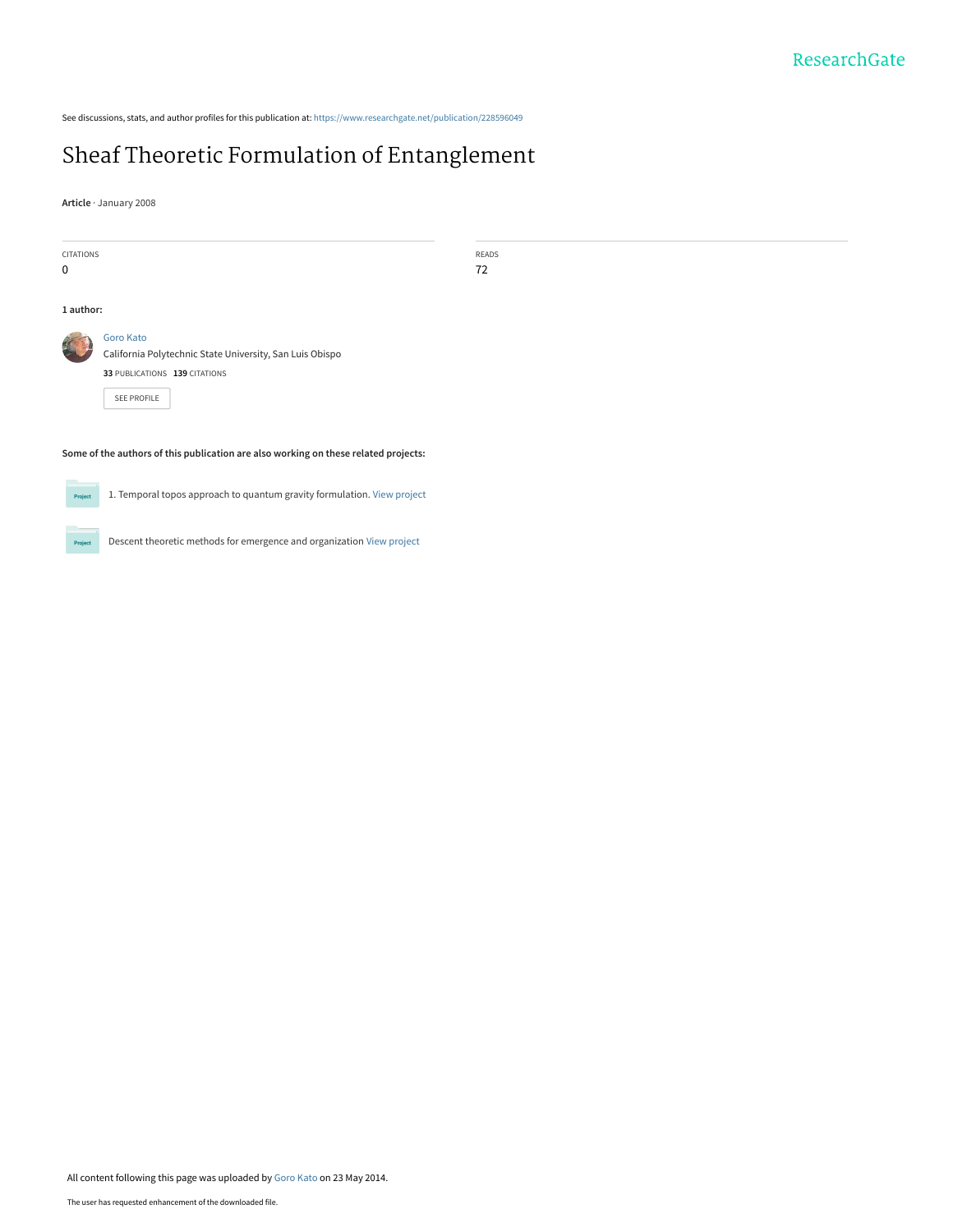See discussions, stats, and author profiles for this publication at: [https://www.researchgate.net/publication/228596049](https://www.researchgate.net/publication/228596049_Sheaf_Theoretic_Formulation_of_Entanglement?enrichId=rgreq-b4ea5edafa29b84abd2431497e343a5c-XXX&enrichSource=Y292ZXJQYWdlOzIyODU5NjA0OTtBUzoxMDAwNzE2OTM2MTkyMDRAMTQwMDg3MDM1OTE4OA%3D%3D&el=1_x_2&_esc=publicationCoverPdf)

### [Sheaf Theoretic Formulation of Entanglement](https://www.researchgate.net/publication/228596049_Sheaf_Theoretic_Formulation_of_Entanglement?enrichId=rgreq-b4ea5edafa29b84abd2431497e343a5c-XXX&enrichSource=Y292ZXJQYWdlOzIyODU5NjA0OTtBUzoxMDAwNzE2OTM2MTkyMDRAMTQwMDg3MDM1OTE4OA%3D%3D&el=1_x_3&_esc=publicationCoverPdf)

**Article** · January 2008

| CITATIONS                                                                           | READS                                                    |  |
|-------------------------------------------------------------------------------------|----------------------------------------------------------|--|
| 0                                                                                   | 72                                                       |  |
|                                                                                     |                                                          |  |
| 1 author:                                                                           |                                                          |  |
| S.                                                                                  | <b>Goro Kato</b>                                         |  |
|                                                                                     | California Polytechnic State University, San Luis Obispo |  |
|                                                                                     | 33 PUBLICATIONS 139 CITATIONS                            |  |
|                                                                                     | SEE PROFILE                                              |  |
|                                                                                     |                                                          |  |
| Some of the authors of this publication are also working on these related projects: |                                                          |  |



1. Temporal topos approach to quantum gravity formulation. [View project](https://www.researchgate.net/project/1-Temporal-topos-approach-to-quantum-gravity-formulation?enrichId=rgreq-b4ea5edafa29b84abd2431497e343a5c-XXX&enrichSource=Y292ZXJQYWdlOzIyODU5NjA0OTtBUzoxMDAwNzE2OTM2MTkyMDRAMTQwMDg3MDM1OTE4OA%3D%3D&el=1_x_9&_esc=publicationCoverPdf)



Descent theoretic methods for emergence and organization [View project](https://www.researchgate.net/project/Descent-theoretic-methods-for-emergence-and-organization?enrichId=rgreq-b4ea5edafa29b84abd2431497e343a5c-XXX&enrichSource=Y292ZXJQYWdlOzIyODU5NjA0OTtBUzoxMDAwNzE2OTM2MTkyMDRAMTQwMDg3MDM1OTE4OA%3D%3D&el=1_x_9&_esc=publicationCoverPdf)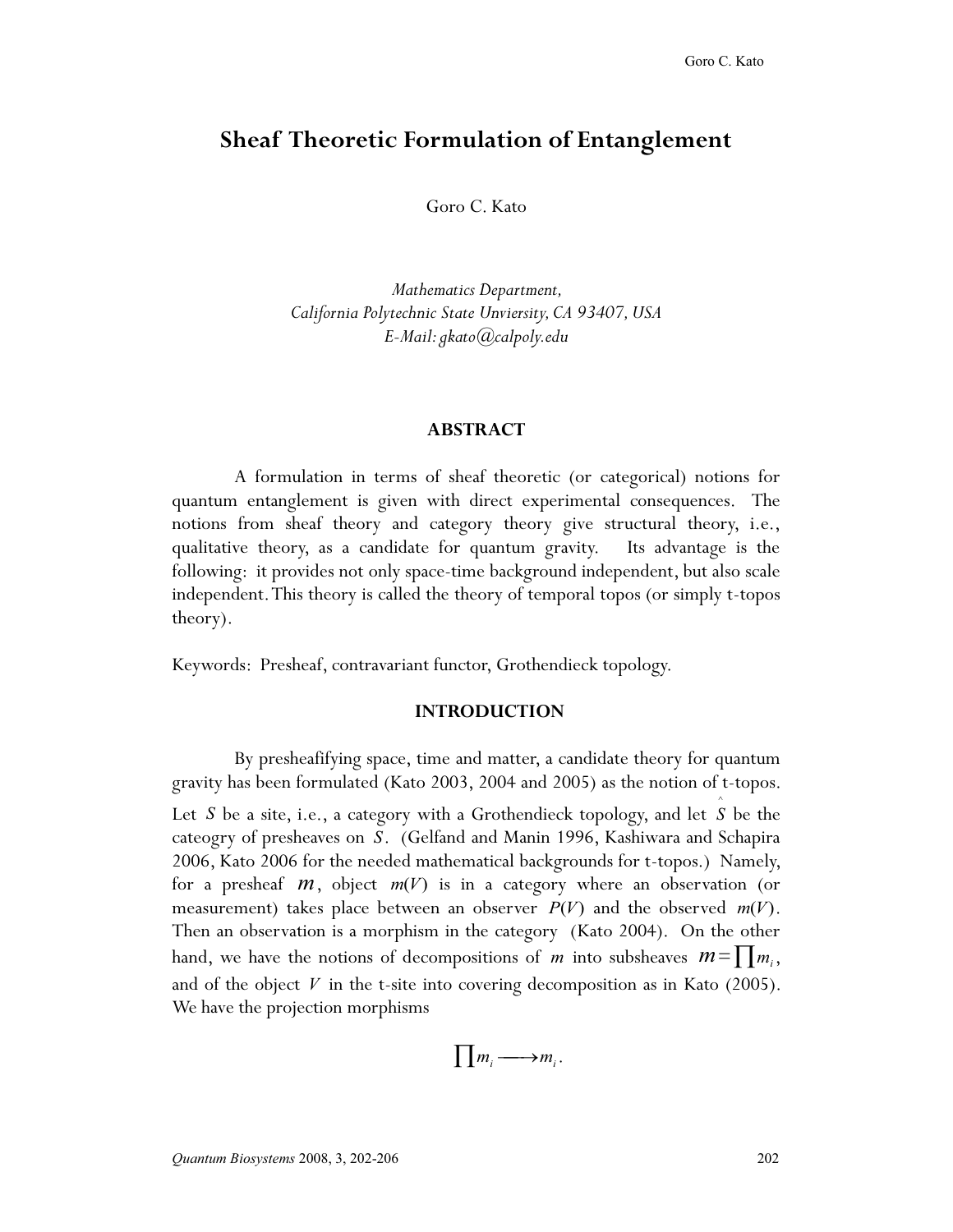### **Sheaf Theoretic Formulation of Entanglement**

Goro C. Kato

 *Mathematics Department, California Polytechnic State Unviersity, CA 93407, USA E-Mail: gkato@calpoly.edu* 

# **ABSTRACT**

 quantum entanglement is given with direct experimental consequences. The theory). A formulation in terms of sheaf theoretic (or categorical) notions for notions from sheaf theory and category theory give structural theory, i.e., qualitative theory, as a candidate for quantum gravity. Its advantage is the following: it provides not only space-time background independent, but also scale independent.This theory is called the theory of temporal topos (or simply t-topos

Keywords: Presheaf, contravariant functor, Grothendieck topology.

#### **INTRODUCTION INTRODUCTION**

 gravity has been formulated (Kato 2003, 2004 and 2005) as the notion of t-topos. Let *S* be a site, i.e., a category with a Grothendieck topology, and let *S* hand, we have the notions of decompositions of *m* into subsheaves  $m = \prod m_i$ , By presheafifying space, time and matter, a candidate theory for quantum ^ Let S be a site, i.e., a category with a Grothendieck topology, and let S be the cateogry of presheaves on *S*. (Gelfand and Manin 1996, Kashiwara and Schapira 2006, Kato 2006 for the needed mathematical backgrounds for t-topos.) Namely, for a presheaf *m*, object *m*(*V*) is in a category where an observation (or measurement) takes place between an observer  $P(V)$  and the observed  $m(V)$ . Then an observation is a morphism in the category (Kato 2004). On the other and of the object  $V$  in the t-site into covering decomposition as in Kato (2005). We have the projection morphisms

$$
\prod m_i \longrightarrow m_i.
$$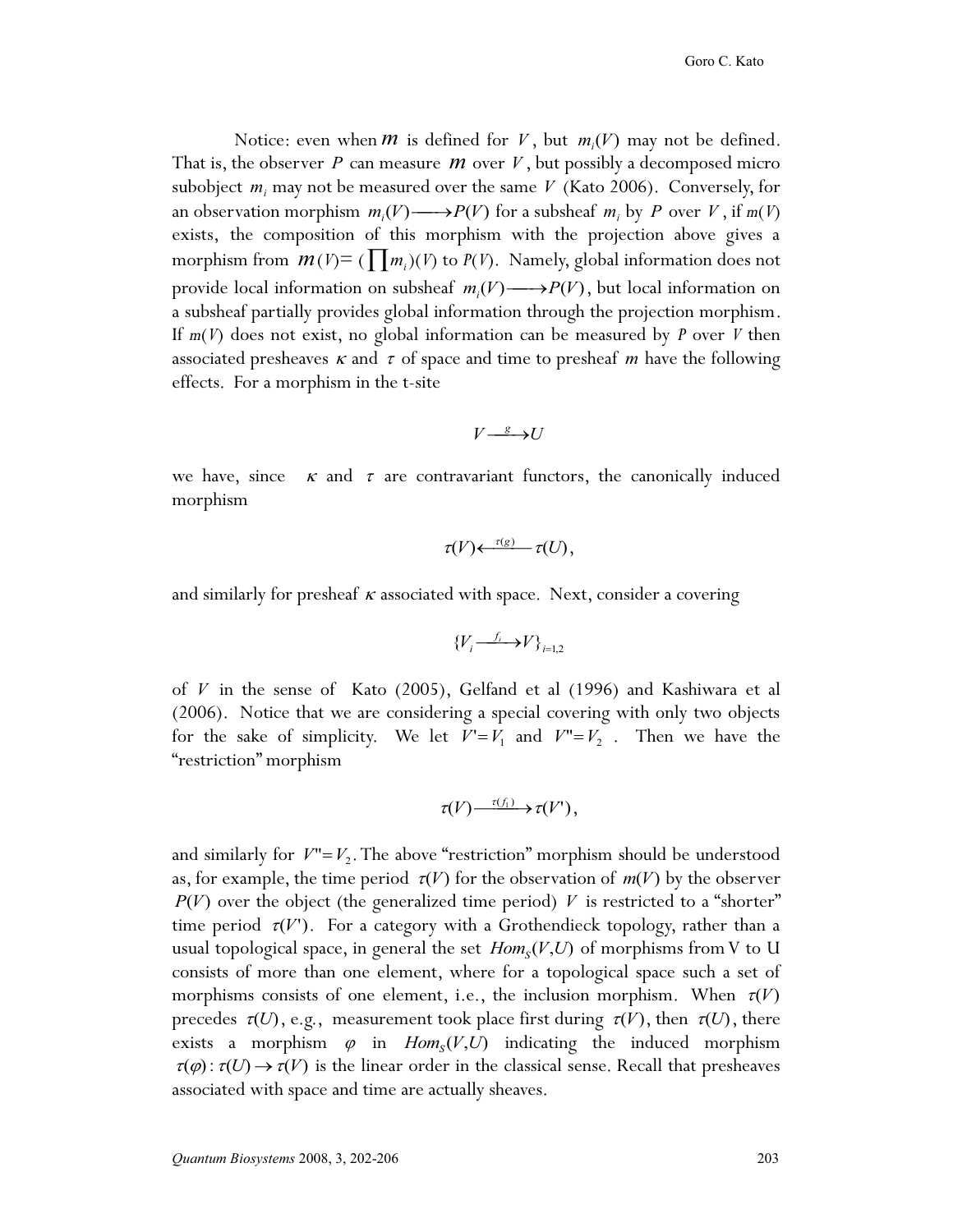Notice: even when *M* is defined for *V*, but  $m_i(V)$  may not be defined.<br>the observer *P* can measure *M* over *V*, but possibly a decomposed micro effects. For a morphism in the t-site That is, the observer *P* can measure *M* over *V*, but possibly a decomposed micro subobject  $m_i$  may not be measured over the same *V* (Kato 2006). Conversely, for an observation morphism  $m_i(V) \longrightarrow P(V)$  for a subsheaf  $m_i$  by *P* over *V*, if  $m(V)$  over the composition of this morphism with the projection shows gives a exists, the composition of this morphism with the projection above gives a morphism from  $m(V) = ( \mid m_i)(V)$  to  $P(V)$ . Namely, global information does not provide local information on subsheaf  $m_i(V) \longrightarrow P(V)$ , but local information on<br>a subsheaf partially provides slobal information through the projection morphism a subsheaf partially provides global information through the projection morphism. If *m*(*V*) does not exist, no global information can be measured by *P* over *V* then associated presheaves  $\kappa$  and  $\tau$  of space and time to presheaf *m* have the following

$$
V \xrightarrow{g} U
$$

we have, since  $\kappa$  and  $\tau$  are contravariant functors, the canonically induced morphism

$$
\tau(V) \leftarrow \frac{\tau(g)}{\tau(U)},
$$

and similarly for presheaf  $\kappa$  associated with space. Next, consider a covering

$$
\{V_i \xrightarrow{f_i} V\}_{i=1,2}
$$

for the sake of simplicity. We let  $V' = V_1$  and  $V'' = V_2$ . Then we have the "nectricition" morphism of *V* in the sense of Kato (2005), Gelfand et al (1996) and Kashiwara et al (2006). Notice that we are considering a special covering with only two objects "restriction" morphism

$$
\tau(V) \longrightarrow {\tau(f_1)} \longrightarrow \tau(V'),
$$

and similarly for  $V''=V_2$ . The above "restriction" morphism should be understood<br>as for example, the time period  $\tau(V)$  for the observation of  $\tau v(V)$  by the observer. consists of more than one element, where for a topological space such a set of morphisms consists of one element, i.e., the inclusion morphism. When  $\tau(V)$ as, for example, the time period  $\tau(V)$  for the observation of  $m(V)$  by the observer  $P(V)$  over the object (the generalized time period) V is restricted to a "shorter" time period  $\tau(V')$ . For a category with a Grothendieck topology, rather than a usual topological space, in general the set  $Hom_S(V, U)$  of morphisms from V to U precedes  $\tau(U)$ , e.g., measurement took place first during  $\tau(V)$ , then  $\tau(U)$ , there exists a morphism  $\varphi$  in  $Hom_s(V, U)$  indicating the induced morphism  $\tau(\varphi): \tau(U) \to \tau(V)$  is the linear order in the classical sense. Recall that presheaves associated with space and time are actually sheaves.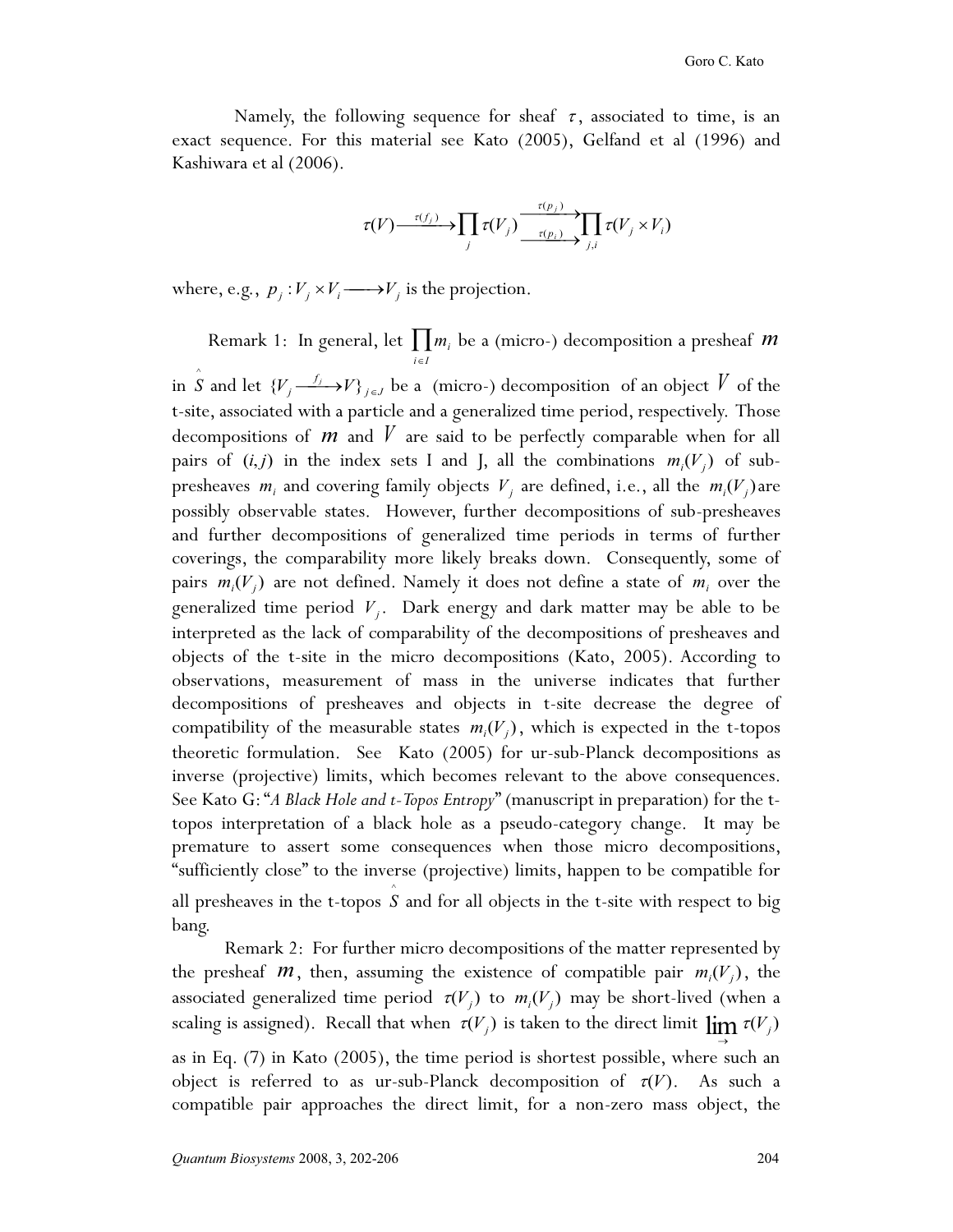Namely, the following sequence for sheaf  $\tau$ , associated to time, is an exact sequence. For this material see Kato (2005), Gelfand et al (1996) and Kashiwara et al (2006).

$$
\tau(V) \xrightarrow{\tau(f_j)} \prod_j \tau(V_j) \xrightarrow{\tau(p_j)} \prod_{j,i} \tau(V_j \times V_i)
$$

where, e.g.,  $p_j: V_j \times V_i \longrightarrow V_j$  is the projection.

Remark 1: In general, let  $\prod m_i$  be a (micro-) decomposition a presheaf *m* 

 t-site, associated with a particle and a generalized time period, respectively. Those objects of the t-site in the micro decompositions (Kato, 2005). According to theoretic formulation. See Kato (2005) for ur-sub-Planck decompositions as inverse (projective) limits, which becomes relevant to the above consequences. in  $\hat{S}$  and let  $\{V_j \xrightarrow{f_j} V\}_{j \in J}$  be a (micro-) decomposition of an object  $\hat{V}$  of the decompositions of *m* and *V* are said to be perfectly comparable when for all pairs of  $(i, j)$  in the index sets I and J, all the combinations  $m_i(V_j)$  of subpresheaves  $m_i$  and covering family objects  $V_j$  are defined, i.e., all the  $m_i(V_j)$  are possibly observable states. However, further decompositions of sub-presheaves and further decompositions of generalized time periods in terms of further coverings, the comparability more likely breaks down. Consequently, some of pairs  $m_i(V_j)$  are not defined. Namely it does not define a state of  $m_i$  over the generalized time period *Vj*. Dark energy and dark matter may be able to be interpreted as the lack of comparability of the decompositions of presheaves and observations, measurement of mass in the universe indicates that further decompositions of presheaves and objects in t-site decrease the degree of compatibility of the measurable states  $m_i(V_j)$ , which is expected in the t-topos See Kato G: "*A Black Hole and t-Topos Entropy*" (manuscript in preparation) for the ttopos interpretation of a black hole as a pseudo-category change. It may be premature to assert some consequences when those micro decompositions, "sufficiently close" to the inverse (projective) limits, happen to be compatible for all presheaves in the t-topos *S* and for all objects in the t-site with respect to big ^ bang.

scaling is assigned). Recall that when  $\tau(V_j)$  is taken to the direct limit  $\lim_{\to} \tau(V_j)$ Remark 2: For further micro decompositions of the matter represented by the presheaf *m*, then, assuming the existence of compatible pair  $m_i(V_j)$ , the associated generalized time period  $\tau(V)$  to  $m(V)$  may be short-lived (when a associated generalized time period  $\tau(V_j)$  to  $m_i(V_j)$  may be short-lived (when a as in Eq. (7) in Kato (2005), the time period is shortest possible, where such an object is referred to as ur-sub-Planck decomposition of  $\tau(V)$ . As such a compatible pair approaches the direct limit, for a non-zero mass object, the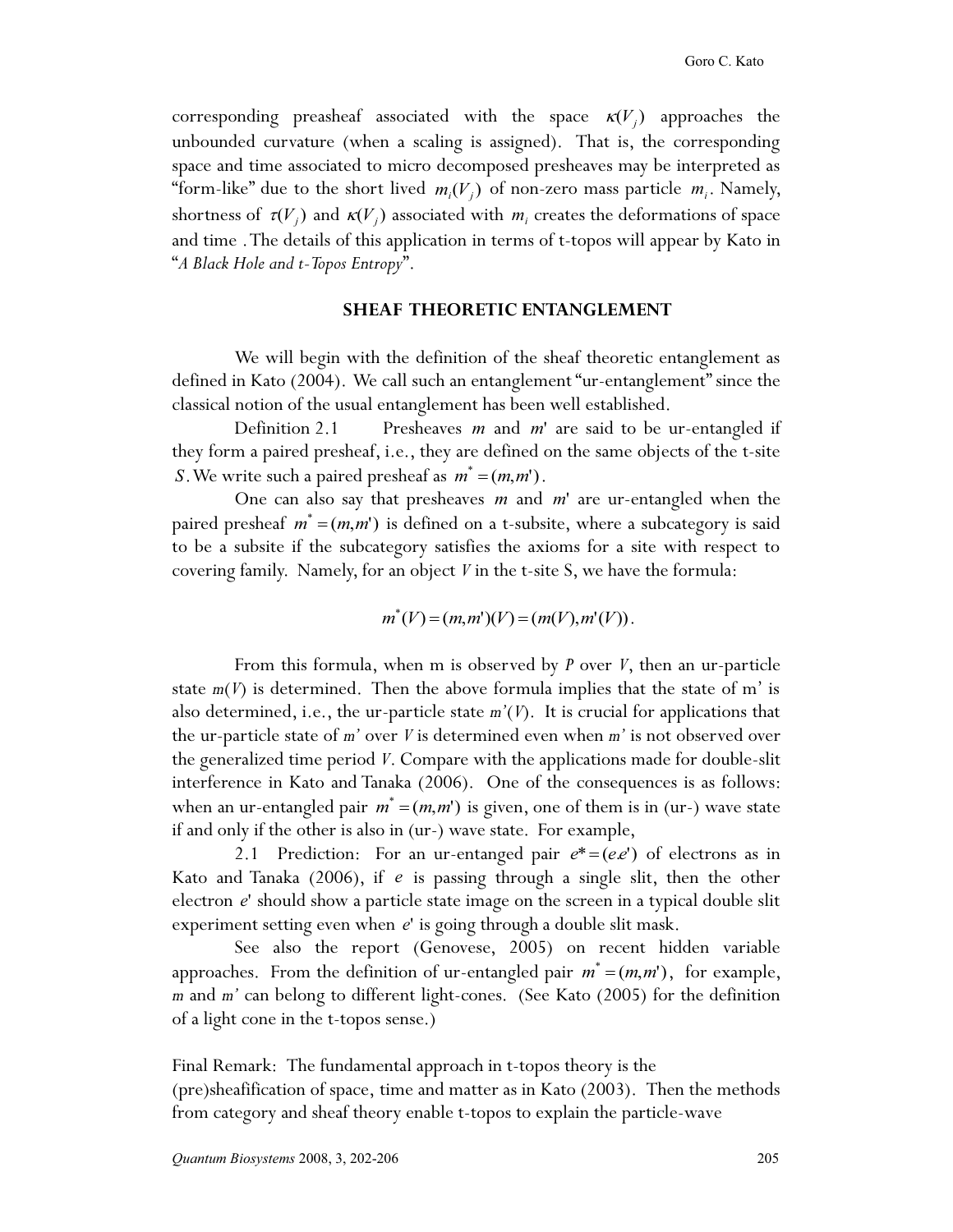unbounded curvature (when a scaling is assigned). That is, the corresponding and time .The details of this application in terms of t-topos will appear by Kato in corresponding preasheaf associated with the space  $\kappa(V_i)$  approaches the space and time associated to micro decomposed presheaves may be interpreted as "form-like" due to the short lived  $m_i(V_j)$  of non-zero mass particle  $m_i$ . Namely, shortness of  $\tau(V_j)$  and  $\kappa(V_j)$  associated with  $m_i$  creates the deformations of space "*A Black Hole and t-Topos Entropy*".

# **SHEAF THEORETIC ENTANGLEMENT**

 defined in Kato (2004). We call such an entanglement "ur-entanglement" since the We will begin with the definition of the sheaf theoretic entanglement as classical notion of the usual entanglement has been well established.

Definition 2.1 Presheaves *m* and *m*' are said to be ur-entangled if they form a paired presheaf, i.e., they are defined on the same objects of the t-site *S*. We write such a paired presheaf as  $m^* = (m, m^*)$ .

 covering family. Namely, for an object *V* in the t-site S, we have the formula: One can also say that presheaves *m* and *m*' are ur-entangled when the paired presheaf  $m^* = (m, m^*)$  is defined on a t-subsite, where a subcategory is said to be a subsite if the subcategory satisfies the axioms for a site with respect to

$$
m^*(V) = (m,m')(V) = (m(V), m'(V)).
$$

 state *m*(*V*) is determined. Then the above formula implies that the state of m' is interference in Kato and Tanaka (2006). One of the consequences is as follows: if and only if the other is also in (ur-) wave state. For example, From this formula, when m is observed by *P* over *V*, then an ur-particle also determined, i.e., the ur-particle state *m'*(*V*). It is crucial for applications that the ur-particle state of *m'* over *V* is determined even when *m'* is not observed over the generalized time period *V*. Compare with the applications made for double-slit when an ur-entangled pair  $m^* = (m, m')$  is given, one of them is in (ur-) wave state

2.1 Prediction: For an ur-entanged pair  $e^* = (e.e)^n$  of electrons as in Kato and Tanaka (2006), if *e* is passing through a single slit, then the other electron *e*' should show a particle state image on the screen in a typical double slit experiment setting even when *e*' is going through a double slit mask.

approaches. From the definition of ur-entangled pair  $m^* = (m, m')$ , for example, *m* and *m'* can belong to different light-cones. (See Kato (2005) for the definition See also the report (Genovese, 2005) on recent hidden variable of a light cone in the t-topos sense.)

Final Remark: The fundamental approach in t-topos theory is the (pre)sheafification of space, time and matter as in Kato (2003). Then the methods from category and sheaf theory enable t-topos to explain the particle-wave